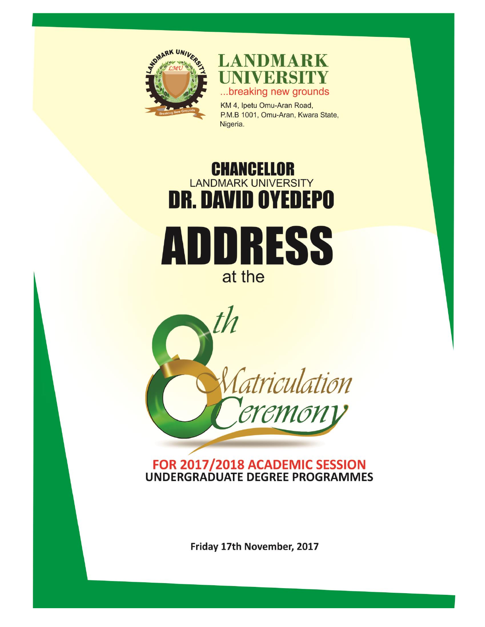

**LANDMARK** NIVERSITY ...breaking new grounds

KM 4, Ipetu Omu-Aran Road, P.M.B 1001, Omu-Aran, Kwara State, Nigeria.

# **CHANCELLOR**<br>LANDMARK UNIVERSITY **DR. DAVID OYEDEPO** DRESS at the



#### FOR 2017/2018 ACADEMIC SESSION **UNDERGRADUATE DEGREE PROGRAMMES**

Friday 17th November, 2017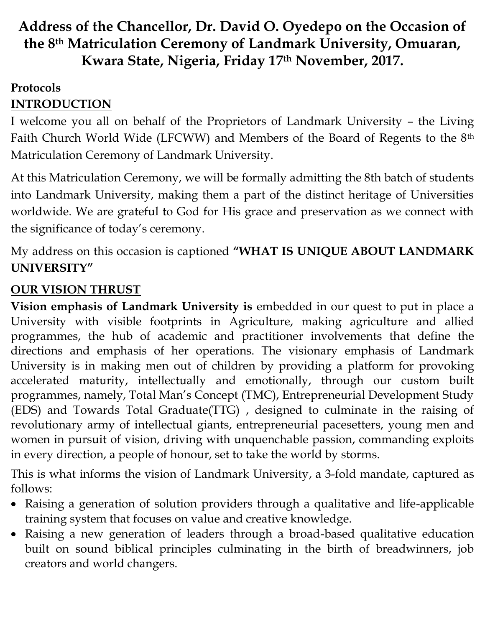# **Address of the Chancellor, Dr. David O. Oyedepo on the Occasion of the 8th Matriculation Ceremony of Landmark University, Omuaran, Kwara State, Nigeria, Friday 17th November, 2017.**

#### **Protocols INTRODUCTION**

I welcome you all on behalf of the Proprietors of Landmark University – the Living Faith Church World Wide (LFCWW) and Members of the Board of Regents to the 8th Matriculation Ceremony of Landmark University.

At this Matriculation Ceremony, we will be formally admitting the 8th batch of students into Landmark University, making them a part of the distinct heritage of Universities worldwide. We are grateful to God for His grace and preservation as we connect with the significance of today's ceremony.

My address on this occasion is captioned **"WHAT IS UNIQUE ABOUT LANDMARK UNIVERSITY"**

#### **OUR VISION THRUST**

**Vision emphasis of Landmark University is** embedded in our quest to put in place a University with visible footprints in Agriculture, making agriculture and allied programmes, the hub of academic and practitioner involvements that define the directions and emphasis of her operations. The visionary emphasis of Landmark University is in making men out of children by providing a platform for provoking accelerated maturity, intellectually and emotionally, through our custom built programmes, namely, Total Man's Concept (TMC), Entrepreneurial Development Study (EDS) and Towards Total Graduate(TTG) , designed to culminate in the raising of revolutionary army of intellectual giants, entrepreneurial pacesetters, young men and women in pursuit of vision, driving with unquenchable passion, commanding exploits in every direction, a people of honour, set to take the world by storms.

This is what informs the vision of Landmark University, a 3-fold mandate, captured as follows:

- Raising a generation of solution providers through a qualitative and life-applicable training system that focuses on value and creative knowledge.
- Raising a new generation of leaders through a broad-based qualitative education built on sound biblical principles culminating in the birth of breadwinners, job creators and world changers.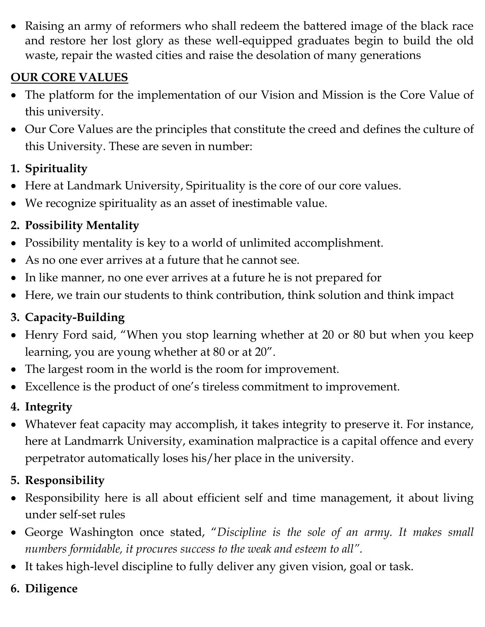Raising an army of reformers who shall redeem the battered image of the black race and restore her lost glory as these well-equipped graduates begin to build the old waste, repair the wasted cities and raise the desolation of many generations

## **OUR CORE VALUES**

- The platform for the implementation of our Vision and Mission is the Core Value of this university.
- Our Core Values are the principles that constitute the creed and defines the culture of this University. These are seven in number:

## **1. Spirituality**

- Here at Landmark University, Spirituality is the core of our core values.
- We recognize spirituality as an asset of inestimable value.

# **2. Possibility Mentality**

- Possibility mentality is key to a world of unlimited accomplishment.
- As no one ever arrives at a future that he cannot see.
- In like manner, no one ever arrives at a future he is not prepared for
- Here, we train our students to think contribution, think solution and think impact

# **3. Capacity-Building**

- Henry Ford said, "When you stop learning whether at 20 or 80 but when you keep learning, you are young whether at 80 or at 20".
- The largest room in the world is the room for improvement.
- Excellence is the product of one's tireless commitment to improvement.

## **4. Integrity**

 Whatever feat capacity may accomplish, it takes integrity to preserve it. For instance, here at Landmarrk University, examination malpractice is a capital offence and every perpetrator automatically loses his/her place in the university.

## **5. Responsibility**

- Responsibility here is all about efficient self and time management, it about living under self-set rules
- George Washington once stated, "*Discipline is the sole of an army. It makes small numbers formidable, it procures success to the weak and esteem to all".*
- It takes high-level discipline to fully deliver any given vision, goal or task.
- **6. Diligence**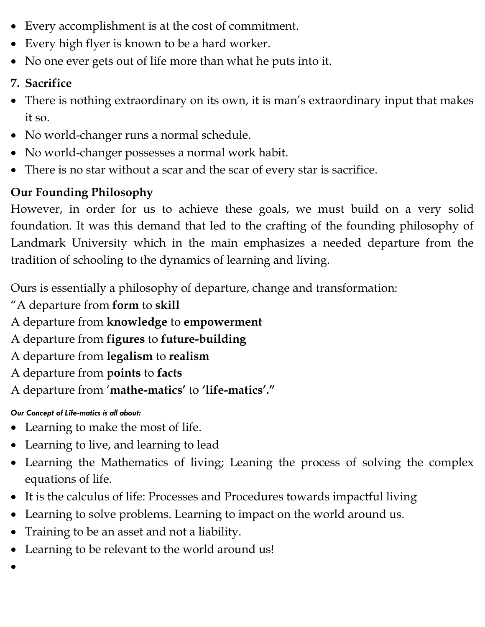- Every accomplishment is at the cost of commitment.
- Every high flyer is known to be a hard worker.
- No one ever gets out of life more than what he puts into it.

## **7. Sacrifice**

- There is nothing extraordinary on its own, it is man's extraordinary input that makes it so.
- No world-changer runs a normal schedule.
- No world-changer possesses a normal work habit.
- There is no star without a scar and the scar of every star is sacrifice.

## **Our Founding Philosophy**

However, in order for us to achieve these goals, we must build on a very solid foundation. It was this demand that led to the crafting of the founding philosophy of Landmark University which in the main emphasizes a needed departure from the tradition of schooling to the dynamics of learning and living.

Ours is essentially a philosophy of departure, change and transformation:

- "A departure from **form** to **skill**
- A departure from **knowledge** to **empowerment**
- A departure from **figures** to **future-building**
- A departure from **legalism** to **realism**
- A departure from **points** to **facts**
- A departure from '**mathe-matics'** to **'life-matics'."**

#### *Our Concept of Life-matics is all about:*

- Learning to make the most of life.
- Learning to live, and learning to lead
- Learning the Mathematics of living; Leaning the process of solving the complex equations of life.
- It is the calculus of life: Processes and Procedures towards impactful living
- Learning to solve problems. Learning to impact on the world around us.
- Training to be an asset and not a liability.
- Learning to be relevant to the world around us!
- $\bullet$